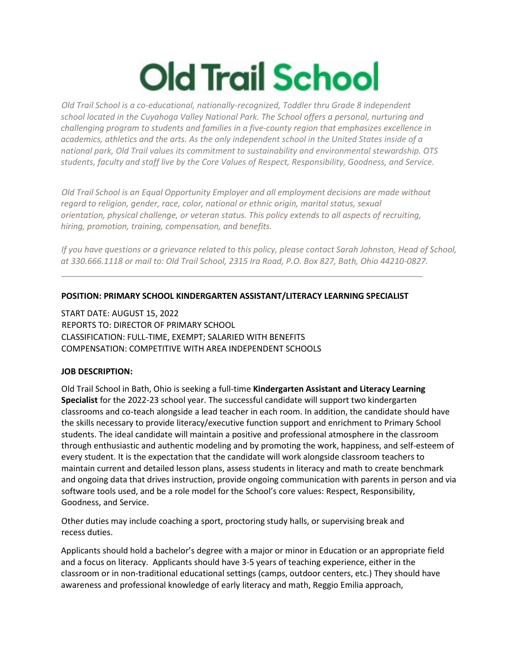## **Old Trail School**

*Old Trail School is a co-educational, nationally-recognized, Toddler thru Grade 8 independent school located in the Cuyahoga Valley National Park. The School offers a personal, nurturing and challenging program to students and families in a five-county region that emphasizes excellence in academics, athletics and the arts. As the only independent school in the United States inside of a national park, Old Trail values its commitment to sustainability and environmental stewardship. OTS students, faculty and staff live by the Core Values of Respect, Responsibility, Goodness, and Service.*

*Old Trail School is an Equal Opportunity Employer and all employment decisions are made without regard to religion, gender, race, color, national or ethnic origin, marital status, sexual orientation, physical challenge, or veteran status. This policy extends to all aspects of recruiting, hiring, promotion, training, compensation, and benefits.* 

*If you have questions or a grievance related to this policy, please contact Sarah Johnston, Head of School, at 330.666.1118 or mail to: Old Trail School, 2315 Ira Road, P.O. Box 827, Bath, Ohio 44210-0827.*

## **POSITION: PRIMARY SCHOOL KINDERGARTEN ASSISTANT/LITERACY LEARNING SPECIALIST**

\_\_\_\_\_\_\_\_\_\_\_\_\_\_\_\_\_\_\_\_\_\_\_\_\_\_\_\_\_\_\_\_\_\_\_\_\_\_\_\_\_\_\_\_\_\_\_\_\_\_\_\_\_\_\_\_\_\_\_\_\_\_\_\_\_\_\_\_\_\_\_\_\_\_\_\_\_\_

START DATE: AUGUST 15, 2022 REPORTS TO: DIRECTOR OF PRIMARY SCHOOL CLASSIFICATION: FULL-TIME, EXEMPT; SALARIED WITH BENEFITS COMPENSATION: COMPETITIVE WITH AREA INDEPENDENT SCHOOLS

## **JOB DESCRIPTION:**

Old Trail School in Bath, Ohio is seeking a full-time **Kindergarten Assistant and Literacy Learning Specialist** for the 2022-23 school year. The successful candidate will support two kindergarten classrooms and co-teach alongside a lead teacher in each room. In addition, the candidate should have the skills necessary to provide literacy/executive function support and enrichment to Primary School students. The ideal candidate will maintain a positive and professional atmosphere in the classroom through enthusiastic and authentic modeling and by promoting the work, happiness, and self-esteem of every student. It is the expectation that the candidate will work alongside classroom teachers to maintain current and detailed lesson plans, assess students in literacy and math to create benchmark and ongoing data that drives instruction, provide ongoing communication with parents in person and via software tools used, and be a role model for the School's core values: Respect, Responsibility, Goodness, and Service.

Other duties may include coaching a sport, proctoring study halls, or supervising break and recess duties.

Applicants should hold a bachelor's degree with a major or minor in Education or an appropriate field and a focus on literacy. Applicants should have 3-5 years of teaching experience, either in the classroom or in non-traditional educational settings (camps, outdoor centers, etc.) They should have awareness and professional knowledge of early literacy and math, Reggio Emilia approach,